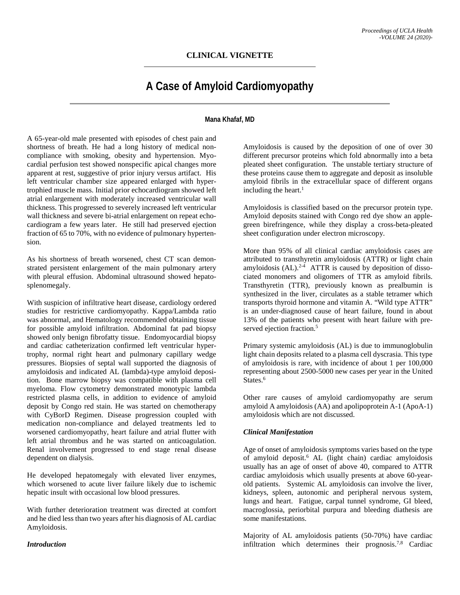## **CLINICAL VIGNETTE**

# **A Case of Amyloid Cardiomyopathy**

### **Mana Khafaf, MD**

A 65-year-old male presented with episodes of chest pain and shortness of breath. He had a long history of medical noncompliance with smoking, obesity and hypertension. Myocardial perfusion test showed nonspecific apical changes more apparent at rest, suggestive of prior injury versus artifact. His left ventricular chamber size appeared enlarged with hypertrophied muscle mass. Initial prior echocardiogram showed left atrial enlargement with moderately increased ventricular wall thickness. This progressed to severely increased left ventricular wall thickness and severe bi-atrial enlargement on repeat echocardiogram a few years later. He still had preserved ejection fraction of 65 to 70%, with no evidence of pulmonary hypertension.

As his shortness of breath worsened, chest CT scan demonstrated persistent enlargement of the main pulmonary artery with pleural effusion. Abdominal ultrasound showed hepatosplenomegaly.

With suspicion of infiltrative heart disease, cardiology ordered studies for restrictive cardiomyopathy. Kappa/Lambda ratio was abnormal, and Hematology recommended obtaining tissue for possible amyloid infiltration. Abdominal fat pad biopsy showed only benign fibrofatty tissue. Endomyocardial biopsy and cardiac catheterization confirmed left ventricular hypertrophy, normal right heart and pulmonary capillary wedge pressures. Biopsies of septal wall supported the diagnosis of amyloidosis and indicated AL (lambda)-type amyloid deposition. Bone marrow biopsy was compatible with plasma cell myeloma. Flow cytometry demonstrated monotypic lambda restricted plasma cells, in addition to evidence of amyloid deposit by Congo red stain. He was started on chemotherapy with CyBorD Regimen. Disease progression coupled with medication non-compliance and delayed treatments led to worsened cardiomyopathy, heart failure and atrial flutter with left atrial thrombus and he was started on anticoagulation. Renal involvement progressed to end stage renal disease dependent on dialysis.

He developed hepatomegaly with elevated liver enzymes, which worsened to acute liver failure likely due to ischemic hepatic insult with occasional low blood pressures.

With further deterioration treatment was directed at comfort and he died less than two years after his diagnosis of AL cardiac Amyloidosis.

*Introduction*

Amyloidosis is caused by the deposition of one of over 30 different precursor proteins which fold abnormally into a beta pleated sheet configuration. The unstable tertiary structure of these proteins cause them to aggregate and deposit as insoluble amyloid fibrils in the extracellular space of different organs including the heart. $<sup>1</sup>$ </sup>

Amyloidosis is classified based on the precursor protein type. Amyloid deposits stained with Congo red dye show an applegreen birefringence, while they display a cross-beta-pleated sheet configuration under electron microscopy.

More than 95% of all clinical cardiac amyloidosis cases are attributed to transthyretin amyloidosis (ATTR) or light chain amyloidosis  $(AL)$ .<sup>2-4</sup> ATTR is caused by deposition of dissociated monomers and oligomers of TTR as amyloid fibrils. Transthyretin (TTR), previously known as prealbumin is synthesized in the liver, circulates as a stable tetramer which transports thyroid hormone and vitamin A. "Wild type ATTR" is an under-diagnosed cause of heart failure, found in about 13% of the patients who present with heart failure with preserved ejection fraction.<sup>5</sup>

Primary systemic amyloidosis (AL) is due to immunoglobulin light chain deposits related to a plasma cell dyscrasia. This type of amyloidosis is rare, with incidence of about 1 per 100,000 representing about 2500-5000 new cases per year in the United States.<sup>6</sup>

Other rare causes of amyloid cardiomyopathy are serum amyloid A amyloidosis (AA) and apolipoprotein A-1 (ApoA-1) amyloidosis which are not discussed.

### *Clinical Manifestation*

Age of onset of amyloidosis symptoms varies based on the type of amyloid deposit. <sup>6</sup> AL (light chain) cardiac amyloidosis usually has an age of onset of above 40, compared to ATTR cardiac amyloidosis which usually presents at above 60-yearold patients. Systemic AL amyloidosis can involve the liver, kidneys, spleen, autonomic and peripheral nervous system, lungs and heart. Fatigue, carpal tunnel syndrome, GI bleed, macroglossia, periorbital purpura and bleeding diathesis are some manifestations.

Majority of AL amyloidosis patients (50-70%) have cardiac infiltration which determines their prognosis.7,8 Cardiac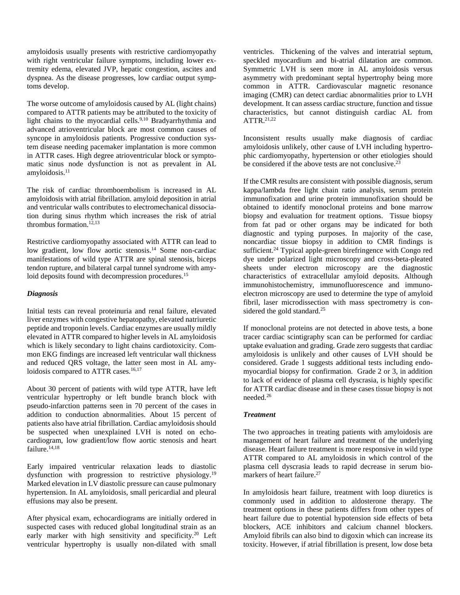amyloidosis usually presents with restrictive cardiomyopathy with right ventricular failure symptoms, including lower extremity edema, elevated JVP, hepatic congestion, ascites and dyspnea. As the disease progresses, low cardiac output symptoms develop.

The worse outcome of amyloidosis caused by AL (light chains) compared to ATTR patients may be attributed to the toxicity of light chains to the myocardial cells.<sup>9,10</sup> Bradyarrhythmia and advanced atrioventricular block are most common causes of syncope in amyloidosis patients. Progressive conduction system disease needing pacemaker implantation is more common in ATTR cases. High degree atrioventricular block or symptomatic sinus node dysfunction is not as prevalent in AL  $amvloidosis.<sup>11</sup>$ 

The risk of cardiac thromboembolism is increased in AL amyloidosis with atrial fibrillation. amyloid deposition in atrial and ventricular walls contributes to electromechanical dissociation during sinus rhythm which increases the risk of atrial thrombus formation.<sup>12,13</sup>

Restrictive cardiomyopathy associated with ATTR can lead to low gradient, low flow aortic stenosis.<sup>14</sup> Some non-cardiac manifestations of wild type ATTR are spinal stenosis, biceps tendon rupture, and bilateral carpal tunnel syndrome with amyloid deposits found with decompression procedures.<sup>15</sup>

#### *Diagnosis*

Initial tests can reveal proteinuria and renal failure, elevated liver enzymes with congestive hepatopathy, elevated natriuretic peptide and troponin levels. Cardiac enzymes are usually mildly elevated in ATTR compared to higher levels in AL amyloidosis which is likely secondary to light chains cardiotoxicity. Common EKG findings are increased left ventricular wall thickness and reduced QRS voltage, the latter seen most in AL amyloidosis compared to ATTR cases.<sup>16,17</sup>

About 30 percent of patients with wild type ATTR, have left ventricular hypertrophy or left bundle branch block with pseudo-infarction patterns seen in 70 percent of the cases in addition to conduction abnormalities. About 15 percent of patients also have atrial fibrillation. Cardiac amyloidosis should be suspected when unexplained LVH is noted on echocardiogram, low gradient/low flow aortic stenosis and heart failure.<sup>14,18</sup>

Early impaired ventricular relaxation leads to diastolic dysfunction with progression to restrictive physiology.19 Marked elevation in LV diastolic pressure can cause pulmonary hypertension. In AL amyloidosis, small pericardial and pleural effusions may also be present.

After physical exam, echocardiograms are initially ordered in suspected cases with reduced global longitudinal strain as an early marker with high sensitivity and specificity.<sup>20</sup> Left ventricular hypertrophy is usually non-dilated with small ventricles. Thickening of the valves and interatrial septum, speckled myocardium and bi-atrial dilatation are common. Symmetric LVH is seen more in AL amyloidosis versus asymmetry with predominant septal hypertrophy being more common in ATTR. Cardiovascular magnetic resonance imaging (CMR) can detect cardiac abnormalities prior to LVH development. It can assess cardiac structure, function and tissue characteristics, but cannot distinguish cardiac AL from  $ATTR.<sup>21,22</sup>$ 

Inconsistent results usually make diagnosis of cardiac amyloidosis unlikely, other cause of LVH including hypertrophic cardiomyopathy, hypertension or other etiologies should be considered if the above tests are not conclusive.<sup>23</sup>

If the CMR results are consistent with possible diagnosis, serum kappa/lambda free light chain ratio analysis, serum protein immunofixation and urine protein immunofixation should be obtained to identify monoclonal proteins and bone marrow biopsy and evaluation for treatment options. Tissue biopsy from fat pad or other organs may be indicated for both diagnostic and typing purposes. In majority of the case, noncardiac tissue biopsy in addition to CMR findings is sufficient.<sup>24</sup> Typical apple-green birefringence with Congo red dye under polarized light microscopy and cross-beta-pleated sheets under electron microscopy are the diagnostic characteristics of extracellular amyloid deposits. Although immunohistochemistry, immunofluorescence and immunoelectron microscopy are used to determine the type of amyloid fibril, laser microdissection with mass spectrometry is considered the gold standard.<sup>25</sup>

If monoclonal proteins are not detected in above tests, a bone tracer cardiac scintigraphy scan can be performed for cardiac uptake evaluation and grading. Grade zero suggests that cardiac amyloidosis is unlikely and other causes of LVH should be considered. Grade 1 suggests additional tests including endomyocardial biopsy for confirmation. Grade 2 or 3, in addition to lack of evidence of plasma cell dyscrasia, is highly specific for ATTR cardiac disease and in these cases tissue biopsy is not needed.26

#### *Treatment*

The two approaches in treating patients with amyloidosis are management of heart failure and treatment of the underlying disease. Heart failure treatment is more responsive in wild type ATTR compared to AL amyloidosis in which control of the plasma cell dyscrasia leads to rapid decrease in serum biomarkers of heart failure.<sup>27</sup>

In amyloidosis heart failure, treatment with loop diuretics is commonly used in addition to aldosterone therapy. The treatment options in these patients differs from other types of heart failure due to potential hypotension side effects of beta blockers, ACE inhibitors and calcium channel blockers. Amyloid fibrils can also bind to digoxin which can increase its toxicity. However, if atrial fibrillation is present, low dose beta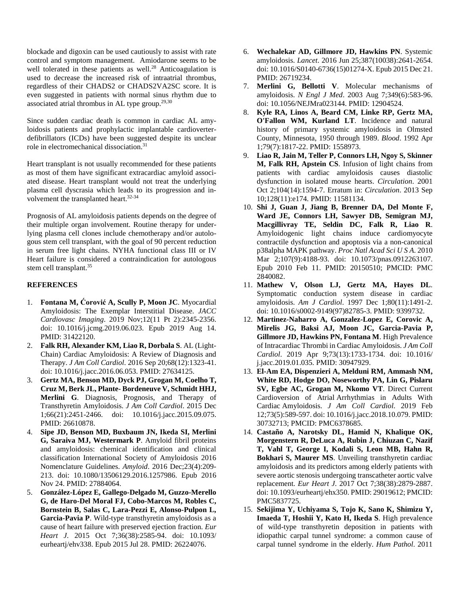blockade and digoxin can be used cautiously to assist with rate control and symptom management. Amiodarone seems to be well tolerated in these patients as well.<sup>28</sup> Anticoagulation is used to decrease the increased risk of intraatrial thrombus, regardless of their CHADS2 or CHADS2VA2SC score. It is even suggested in patients with normal sinus rhythm due to associated atrial thrombus in AL type group. $29,30$ 

Since sudden cardiac death is common in cardiac AL amyloidosis patients and prophylactic implantable cardioverterdefibrillators (ICDs) have been suggested despite its unclear role in electromechanical dissociation.31

Heart transplant is not usually recommended for these patients as most of them have significant extracardiac amyloid associated disease. Heart transplant would not treat the underlying plasma cell dyscrasia which leads to its progression and involvement the transplanted heart.32-34

Prognosis of AL amyloidosis patients depends on the degree of their multiple organ involvement. Routine therapy for underlying plasma cell clones include chemotherapy and/or autologous stem cell transplant, with the goal of 90 percent reduction in serum free light chains. NYHA functional class III or IV Heart failure is considered a contraindication for autologous stem cell transplant.<sup>35</sup>

### **REFERENCES**

- 1. **Fontana M, Ćorović A, Scully P, Moon JC**. Myocardial Amyloidosis: The Exemplar Interstitial Disease. *JACC Cardiovasc Imaging*. 2019 Nov;12(11 Pt 2):2345-2356. doi: 10.1016/j.jcmg.2019.06.023. Epub 2019 Aug 14. PMID: 31422120.
- 2. **Falk RH, Alexander KM, Liao R, Dorbala S**. AL (Light-Chain) Cardiac Amyloidosis: A Review of Diagnosis and Therapy. *J Am Coll Cardiol*. 2016 Sep 20;68(12):1323-41. doi: 10.1016/j.jacc.2016.06.053. PMID: 27634125.
- 3. **Gertz MA, Benson MD, Dyck PJ, Grogan M, Coelho T, Cruz M, Berk JL, Plante- Bordeneuve V, Schmidt HHJ, Merlini G**. Diagnosis, Prognosis, and Therapy of Transthyretin Amyloidosis. *J Am Coll Cardiol*. 2015 Dec 1;66(21):2451-2466. doi: 10.1016/j.jacc.2015.09.075. PMID: 26610878.
- 4. **Sipe JD, Benson MD, Buxbaum JN, Ikeda SI, Merlini G, Saraiva MJ, Westermark P**. Amyloid fibril proteins and amyloidosis: chemical identification and clinical classification International Society of Amyloidosis 2016 Nomenclature Guidelines. *Amyloid*. 2016 Dec;23(4):209- 213. doi: 10.1080/13506129.2016.1257986. Epub 2016 Nov 24. PMID: 27884064.
- 5. **González-López E, Gallego-Delgado M, Guzzo-Merello G, de Haro-Del Moral FJ, Cobo-Marcos M, Robles C, Bornstein B, Salas C, Lara-Pezzi E, Alonso-Pulpon L, Garcia-Pavia P**. Wild-type transthyretin amyloidosis as a cause of heart failure with preserved ejection fraction. *Eur Heart J*. 2015 Oct 7;36(38):2585-94. doi: 10.1093/ eurheartj/ehv338. Epub 2015 Jul 28. PMID: 26224076.
- 6. **Wechalekar AD, Gillmore JD, Hawkins PN**. Systemic amyloidosis. *Lancet*. 2016 Jun 25;387(10038):2641-2654. doi: 10.1016/S0140-6736(15)01274-X. Epub 2015 Dec 21. PMID: 26719234.
- 7. **Merlini G, Bellotti V**. Molecular mechanisms of amyloidosis. *N Engl J Med*. 2003 Aug 7;349(6):583-96. doi: 10.1056/NEJMra023144. PMID: 12904524.
- 8. **Kyle RA, Linos A, Beard CM, Linke RP, Gertz MA, O'Fallon WM, Kurland LT**. Incidence and natural history of primary systemic amyloidosis in Olmsted County, Minnesota, 1950 through 1989. *Blood*. 1992 Apr 1;79(7):1817-22. PMID: 1558973.
- 9. **Liao R, Jain M, Teller P, Connors LH, Ngoy S, Skinner M, Falk RH, Apstein CS**. Infusion of light chains from patients with cardiac amyloidosis causes diastolic dysfunction in isolated mouse hearts. *Circulation*. 2001 Oct 2;104(14):1594-7. Erratum in: *Circulation*. 2013 Sep 10;128(11):e174. PMID: 11581134.
- 10. **Shi J, Guan J, Jiang B, Brenner DA, Del Monte F, Ward JE, Connors LH, Sawyer DB, Semigran MJ, Macgillivray TE, Seldin DC, Falk R, Liao R**. Amyloidogenic light chains induce cardiomyocyte contractile dysfunction and apoptosis via a non-canonical p38alpha MAPK pathway. *Proc Natl Acad Sci U S A*. 2010 Mar 2;107(9):4188-93. doi: 10.1073/pnas.0912263107. Epub 2010 Feb 11. PMID: 20150510; PMCID: PMC 2840082.
- 11. **Mathew V, Olson LJ, Gertz MA, Hayes DL**. Symptomatic conduction system disease in cardiac amyloidosis. *Am J Cardiol*. 1997 Dec 1;80(11):1491-2. doi: 10.1016/s0002-9149(97)82785-3. PMID: 9399732.
- 12. **Martinez-Naharro A, Gonzalez-Lopez E, Corovic A, Mirelis JG, Baksi AJ, Moon JC, Garcia-Pavia P, Gillmore JD, Hawkins PN, Fontana M**. High Prevalence of Intracardiac Thrombi in Cardiac Amyloidosis. *J Am Coll Cardiol*. 2019 Apr 9;73(13):1733-1734. doi: 10.1016/ j.jacc.2019.01.035. PMID: 30947929.
- 13. **El-Am EA, Dispenzieri A, Melduni RM, Ammash NM, White RD, Hodge DO, Noseworthy PA, Lin G, Pislaru SV, Egbe AC, Grogan M, Nkomo VT**. Direct Current Cardioversion of Atrial Arrhythmias in Adults With Cardiac Amyloidosis. *J Am Coll Cardiol*. 2019 Feb 12;73(5):589-597. doi: 10.1016/j.jacc.2018.10.079. PMID: 30732713; PMCID: PMC6378685.
- 14. **Castaño A, Narotsky DL, Hamid N, Khalique OK, Morgenstern R, DeLuca A, Rubin J, Chiuzan C, Nazif T, Vahl T, George I, Kodali S, Leon MB, Hahn R, Bokhari S, Maurer MS**. Unveiling transthyretin cardiac amyloidosis and its predictors among elderly patients with severe aortic stenosis undergoing transcatheter aortic valve replacement. *Eur Heart J*. 2017 Oct 7;38(38):2879-2887. doi: 10.1093/eurheartj/ehx350. PMID: 29019612; PMCID: PMC5837725.
- 15. **Sekijima Y, Uchiyama S, Tojo K, Sano K, Shimizu Y, Imaeda T, Hoshii Y, Kato H, Ikeda S**. High prevalence of wild-type transthyretin deposition in patients with idiopathic carpal tunnel syndrome: a common cause of carpal tunnel syndrome in the elderly. *Hum Pathol*. 2011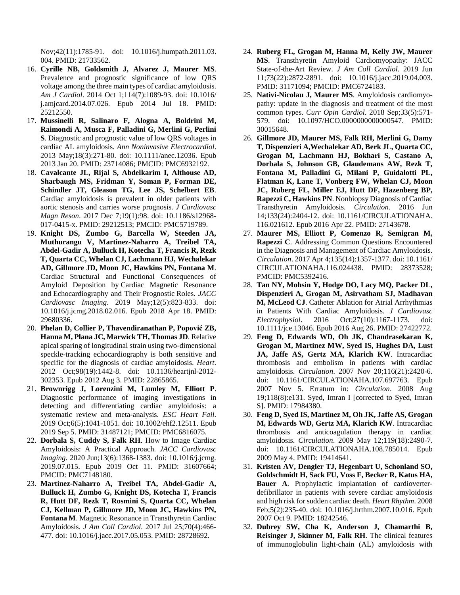Nov;42(11):1785-91. doi: 10.1016/j.humpath.2011.03. 004. PMID: 21733562.

- 16. **Cyrille NB, Goldsmith J, Alvarez J, Maurer MS**. Prevalence and prognostic significance of low QRS voltage among the three main types of cardiac amyloidosis. *Am J Cardiol*. 2014 Oct 1;114(7):1089-93. doi: 10.1016/ j.amjcard.2014.07.026. Epub 2014 Jul 18. PMID: 25212550.
- 17. **Mussinelli R, Salinaro F, Alogna A, Boldrini M, Raimondi A, Musca F, Palladini G, Merlini G, Perlini S**. Diagnostic and prognostic value of low QRS voltages in cardiac AL amyloidosis. *Ann Noninvasive Electrocardiol*. 2013 May;18(3):271-80. doi: 10.1111/anec.12036. Epub 2013 Jan 20. PMID: 23714086; PMCID: PMC6932192.
- 18. **Cavalcante JL, Rijal S, Abdelkarim I, Althouse AD, Sharbaugh MS, Fridman Y, Soman P, Forman DE, Schindler JT, Gleason TG, Lee JS, Schelbert EB**. Cardiac amyloidosis is prevalent in older patients with aortic stenosis and carries worse prognosis. *J Cardiovasc Magn Reson*. 2017 Dec 7;19(1):98. doi: 10.1186/s12968- 017-0415-x. PMID: 29212513; PMCID: PMC5719789.
- 19. **Knight DS, Zumbo G, Barcella W, Steeden JA, Muthurangu V, Martinez-Naharro A, Treibel TA, Abdel-Gadir A, Bulluck H, Kotecha T, Francis R, Rezk T, Quarta CC, Whelan CJ, Lachmann HJ, Wechalekar AD, Gillmore JD, Moon JC, Hawkins PN, Fontana M**. Cardiac Structural and Functional Consequences of Amyloid Deposition by Cardiac Magnetic Resonance and Echocardiography and Their Prognostic Roles. *JACC Cardiovasc Imaging*. 2019 May;12(5):823-833. doi: 10.1016/j.jcmg.2018.02.016. Epub 2018 Apr 18. PMID: 29680336.
- 20. **Phelan D, Collier P, Thavendiranathan P, Popović ZB, Hanna M, Plana JC, Marwick TH, Thomas JD**. Relative apical sparing of longitudinal strain using two-dimensional speckle-tracking echocardiography is both sensitive and specific for the diagnosis of cardiac amyloidosis. *Heart*. 2012 Oct;98(19):1442-8. doi: 10.1136/heartjnl-2012- 302353. Epub 2012 Aug 3. PMID: 22865865.
- 21. **Brownrigg J, Lorenzini M, Lumley M, Elliott P**. Diagnostic performance of imaging investigations in detecting and differentiating cardiac amyloidosis: a systematic review and meta-analysis. *ESC Heart Fail*. 2019 Oct;6(5):1041-1051. doi: 10.1002/ehf2.12511. Epub 2019 Sep 5. PMID: 31487121; PMCID: PMC6816075.
- 22. **Dorbala S, Cuddy S, Falk RH**. How to Image Cardiac Amyloidosis: A Practical Approach. *JACC Cardiovasc Imaging*. 2020 Jun;13(6):1368-1383. doi: 10.1016/j.jcmg. 2019.07.015. Epub 2019 Oct 11. PMID: 31607664; PMCID: PMC7148180.
- 23. **Martinez-Naharro A, Treibel TA, Abdel-Gadir A, Bulluck H, Zumbo G, Knight DS, Kotecha T, Francis R, Hutt DF, Rezk T, Rosmini S, Quarta CC, Whelan CJ, Kellman P, Gillmore JD, Moon JC, Hawkins PN, Fontana M**. Magnetic Resonance in Transthyretin Cardiac Amyloidosis. *J Am Coll Cardiol*. 2017 Jul 25;70(4):466- 477. doi: 10.1016/j.jacc.2017.05.053. PMID: 28728692.
- 24. **Ruberg FL, Grogan M, Hanna M, Kelly JW, Maurer MS**. Transthyretin Amyloid Cardiomyopathy: JACC State-of-the-Art Review. *J Am Coll Cardiol*. 2019 Jun 11;73(22):2872-2891. doi: 10.1016/j.jacc.2019.04.003. PMID: 31171094; PMCID: PMC6724183.
- 25. **Nativi-Nicolau J, Maurer MS**. Amyloidosis cardiomyopathy: update in the diagnosis and treatment of the most common types. *Curr Opin Cardiol*. 2018 Sep;33(5):571- 579. doi: 10.1097/HCO.0000000000000547. PMID: 30015648.
- 26. **Gillmore JD, Maurer MS, Falk RH, Merlini G, Damy T, Dispenzieri A,Wechalekar AD, Berk JL, Quarta CC, Grogan M, Lachmann HJ, Bokhari S, Castano A, Dorbala S, Johnson GB, Glaudemans AW, Rezk T, Fontana M, Palladini G, Milani P, Guidalotti PL, Flatman K, Lane T, Vonberg FW, Whelan CJ, Moon JC, Ruberg FL, Miller EJ, Hutt DF, Hazenberg BP, Rapezzi C, Hawkins PN**. Nonbiopsy Diagnosis of Cardiac Transthyretin Amyloidosis. *Circulation*. 2016 Jun 14;133(24):2404-12. doi: 10.1161/CIRCULATIONAHA. 116.021612. Epub 2016 Apr 22. PMID: 27143678.
- 27. **Maurer MS, Elliott P, Comenzo R, Semigran M, Rapezzi C**. Addressing Common Questions Encountered in the Diagnosis and Management of Cardiac Amyloidosis. *Circulation*. 2017 Apr 4;135(14):1357-1377. doi: 10.1161/ CIRCULATIONAHA.116.024438. PMID: 28373528; PMCID: PMC5392416.
- 28. **Tan NY, Mohsin Y, Hodge DO, Lacy MQ, Packer DL, Dispenzieri A, Grogan M, Asirvatham SJ, Madhavan M, McLeod CJ**. Catheter Ablation for Atrial Arrhythmias in Patients With Cardiac Amyloidosis. *J Cardiovasc Electrophysiol*. 2016 Oct;27(10):1167-1173. doi: 10.1111/jce.13046. Epub 2016 Aug 26. PMID: 27422772.
- 29. **Feng D, Edwards WD, Oh JK, Chandrasekaran K, Grogan M, Martinez MW, Syed IS, Hughes DA, Lust JA, Jaffe AS, Gertz MA, Klarich KW**. Intracardiac thrombosis and embolism in patients with cardiac amyloidosis. *Circulation*. 2007 Nov 20;116(21):2420-6. doi: 10.1161/CIRCULATIONAHA.107.697763. Epub 2007 Nov 5. Erratum in: *Circulation*. 2008 Aug 19;118(8):e131. Syed, Imran I [corrected to Syed, Imran S]. PMID: 17984380.
- 30. **Feng D, Syed IS, Martinez M, Oh JK, Jaffe AS, Grogan M, Edwards WD, Gertz MA, Klarich KW**. Intracardiac thrombosis and anticoagulation therapy in cardiac amyloidosis. *Circulation*. 2009 May 12;119(18):2490-7. doi: 10.1161/CIRCULATIONAHA.108.785014. Epub 2009 May 4. PMID: 19414641.
- 31. **Kristen AV, Dengler TJ, Hegenbart U, Schonland SO, Goldschmidt H, Sack FU, Voss F, Becker R, Katus HA, Bauer A**. Prophylactic implantation of cardioverterdefibrillator in patients with severe cardiac amyloidosis and high risk for sudden cardiac death. *Heart Rhythm*. 2008 Feb;5(2):235-40. doi: 10.1016/j.hrthm.2007.10.016. Epub 2007 Oct 9. PMID: 18242546.
- 32. **Dubrey SW, Cha K, Anderson J, Chamarthi B, Reisinger J, Skinner M, Falk RH**. The clinical features of immunoglobulin light-chain (AL) amyloidosis with